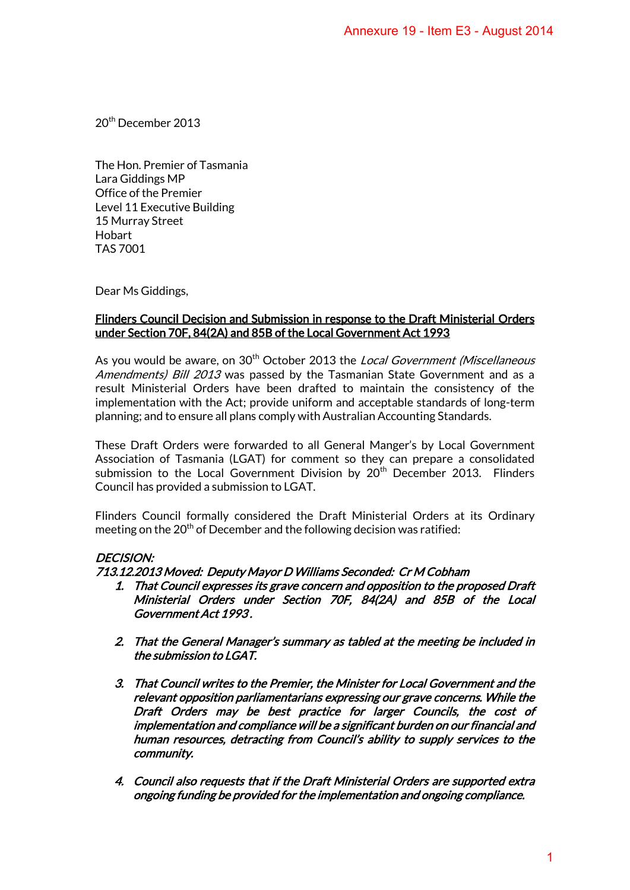20th December 2013

The Hon. Premier of Tasmania Lara Giddings MP Office of the Premier Level 11 Executive Building 15 Murray Street Hobart TAS 7001

Dear Ms Giddings,

### Flinders Council Decision and Submission in response to the Draft Ministerial Orders under Section 70F, 84(2A) and 85B of the Local Government Act 1993

As you would be aware, on 30<sup>th</sup> October 2013 the Local Government (Miscellaneous Amendments) Bill 2013 was passed by the Tasmanian State Government and as a result Ministerial Orders have been drafted to maintain the consistency of the implementation with the Act; provide uniform and acceptable standards of long-term planning; and to ensure all plans comply with Australian Accounting Standards.

These Draft Orders were forwarded to all General Manger's by Local Government Association of Tasmania (LGAT) for comment so they can prepare a consolidated submission to the Local Government Division by 20<sup>th</sup> December 2013. Flinders Council has provided a submission to LGAT.

Flinders Council formally considered the Draft Ministerial Orders at its Ordinary meeting on the  $20<sup>th</sup>$  of December and the following decision was ratified:

# DECISION:

### 713.12.2013 Moved: Deputy Mayor D Williams Seconded: Cr M Cobham

- 1. That Council expresses its grave concern and opposition to the proposed Draft Ministerial Orders under Section 70F, 84(2A) and 85B of the Local Government Act 1993 .
- 2. That the General Manager's summary as tabled at the meeting be included in the submission to LGAT.
- 3. That Council writes to the Premier, the Minister for Local Government and the relevant opposition parliamentarians expressing our grave concerns. While the Draft Orders may be best practice for larger Councils, the cost of implementation and compliance will be a significant burden on our financial and human resources, detracting from Council's ability to supply services to the community. Annexure 19 - Item E3 - August 2014<br>
Denote to the Draft Ministerial Orders<br>
Denote the Draft Ministerial Orders<br>
the Local Government (Miscellaneous<br>
manian State Government and as a<br>
to maintain the consistency of the<br>
t
- 4. Council also requests that if the Draft Ministerial Orders are supported extra ongoing funding be provided for the implementation and ongoing compliance.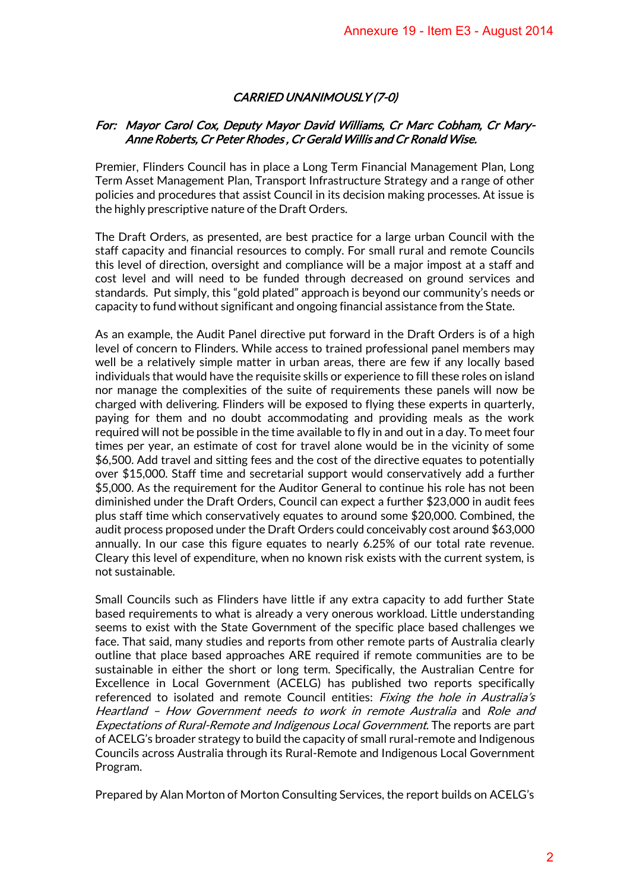# CARRIED UNANIMOUSLY (7-0)

### For: Mayor Carol Cox, Deputy Mayor David Williams, Cr Marc Cobham, Cr Mary-Anne Roberts, Cr Peter Rhodes , Cr Gerald Willis and Cr Ronald Wise.

Premier, Flinders Council has in place a Long Term Financial Management Plan, Long Term Asset Management Plan, Transport Infrastructure Strategy and a range of other policies and procedures that assist Council in its decision making processes. At issue is the highly prescriptive nature of the Draft Orders.

The Draft Orders, as presented, are best practice for a large urban Council with the staff capacity and financial resources to comply. For small rural and remote Councils this level of direction, oversight and compliance will be a major impost at a staff and cost level and will need to be funded through decreased on ground services and standards. Put simply, this "gold plated" approach is beyond our community's needs or capacity to fund without significant and ongoing financial assistance from the State.

As an example, the Audit Panel directive put forward in the Draft Orders is of a high level of concern to Flinders. While access to trained professional panel members may well be a relatively simple matter in urban areas, there are few if any locally based individuals that would have the requisite skills or experience to fill these roles on island nor manage the complexities of the suite of requirements these panels will now be charged with delivering. Flinders will be exposed to flying these experts in quarterly, paying for them and no doubt accommodating and providing meals as the work required will not be possible in the time available to fly in and out in a day. To meet four times per year, an estimate of cost for travel alone would be in the vicinity of some \$6,500. Add travel and sitting fees and the cost of the directive equates to potentially over \$15,000. Staff time and secretarial support would conservatively add a further \$5,000. As the requirement for the Auditor General to continue his role has not been diminished under the Draft Orders, Council can expect a further \$23,000 in audit fees plus staff time which conservatively equates to around some \$20,000. Combined, the audit process proposed under the Draft Orders could conceivably cost around \$63,000 annually. In our case this figure equates to nearly 6.25% of our total rate revenue. Cleary this level of expenditure, when no known risk exists with the current system, is not sustainable. Annexure 19 - Item E3 - August 2014<br>
USLY (7-0)<br>
USLY (7-0)<br>
USLY (7-0)<br>
USLY (7-0)<br>
USLY (7-0)<br>
USLY (7-0)<br>
USLY (7-0)<br>
USLY (8-0)<br>
Compare Compare Theoretical Management Plan, Long<br>
rructure Strategy and a range of other

Small Councils such as Flinders have little if any extra capacity to add further State based requirements to what is already a very onerous workload. Little understanding seems to exist with the State Government of the specific place based challenges we face. That said, many studies and reports from other remote parts of Australia clearly outline that place based approaches ARE required if remote communities are to be sustainable in either the short or long term. Specifically, the Australian Centre for Excellence in Local Government (ACELG) has published two reports specifically referenced to isolated and remote Council entities: *Fixing the hole in Australia's* Heartland – How Government needs to work in remote Australia and Role and Expectations of Rural-Remote and Indigenous Local Government. The reports are part of ACELG's broader strategy to build the capacity of small rural-remote and Indigenous Councils across Australia through it[s Rural-Remote and Indigenous Local Government](http://www.acelg.org.au/program-details.php?pid=5)  [Program.](http://www.acelg.org.au/program-details.php?pid=5)

Prepared by Alan Morton of Morton Consulting Services, the report builds on ACELG's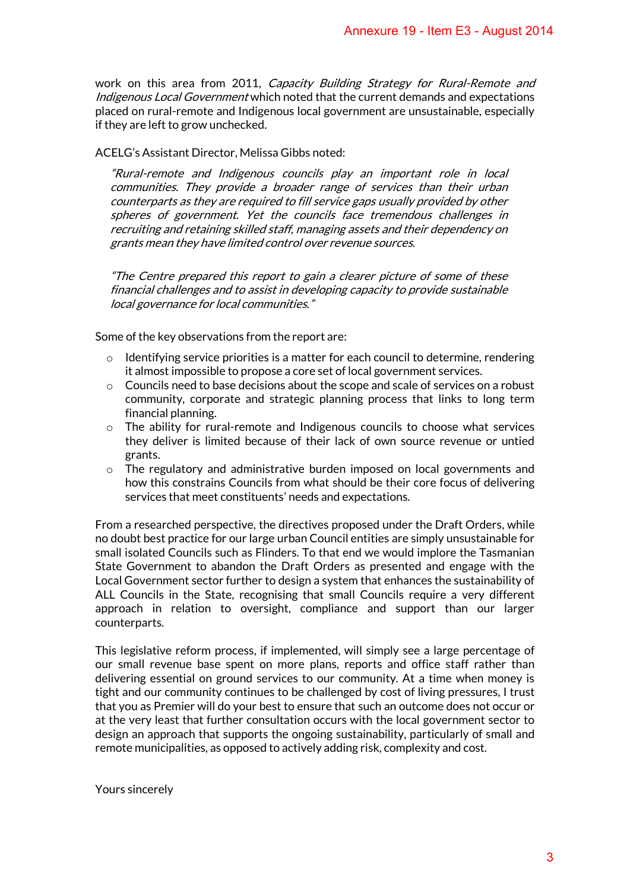work on this area from 2011, *Capacity Building Strategy for Rural-Remote and* [Indigenous Local Government](http://www.acelg.org.au/news-detail.php?id=140) which noted that the current demands and expectations placed on rural-remote and Indigenous local government are unsustainable, especially if they are left to grow unchecked.

### ACELG's Assistant Director, Melissa Gibbs noted:

"Rural-remote and Indigenous councils play an important role in local communities. They provide a broader range of services than their urban counterparts as they are required to fill service gaps usually provided by other spheres of government. Yet the councils face tremendous challenges in recruiting and retaining skilled staff, managing assets and their dependency on grants mean they have limited control over revenue sources.

"The Centre prepared this report to gain a clearer picture of some of these financial challenges and to assist in developing capacity to provide sustainable local governance for local communities."

Some of the key observations from the report are:

- $\circ$  Identifying service priorities is a matter for each council to determine, rendering it almost impossible to propose a core set of local government services.
- $\circ$  Councils need to base decisions about the scope and scale of services on a robust community, corporate and strategic planning process that links to long term financial planning.
- o The ability for rural-remote and Indigenous councils to choose what services they deliver is limited because of their lack of own source revenue or untied grants.
- $\circ$  The regulatory and administrative burden imposed on local governments and how this constrains Councils from what should be their core focus of delivering services that meet constituents' needs and expectations.

From a researched perspective, the directives proposed under the Draft Orders, while no doubt best practice for our large urban Council entities are simply unsustainable for small isolated Councils such as Flinders. To that end we would implore the Tasmanian State Government to abandon the Draft Orders as presented and engage with the Local Government sector further to design a system that enhances the sustainability of ALL Councils in the State, recognising that small Councils require a very different approach in relation to oversight, compliance and support than our larger counterparts. Annexure 19 - Item E3 - August 2014<br> *ling Strategy for Rural-Remote and*<br>
ecurrent demands and expectations<br>
ernument are unsustainable, especially<br>  $\frac{dy}{dx}$  an *important role in local*<br>  $\frac{dy}{dx}$  an *important role in* 

This legislative reform process, if implemented, will simply see a large percentage of our small revenue base spent on more plans, reports and office staff rather than delivering essential on ground services to our community. At a time when money is tight and our community continues to be challenged by cost of living pressures, I trust that you as Premier will do your best to ensure that such an outcome does not occur or at the very least that further consultation occurs with the local government sector to design an approach that supports the ongoing sustainability, particularly of small and remote municipalities, as opposed to actively adding risk, complexity and cost.

Yours sincerely